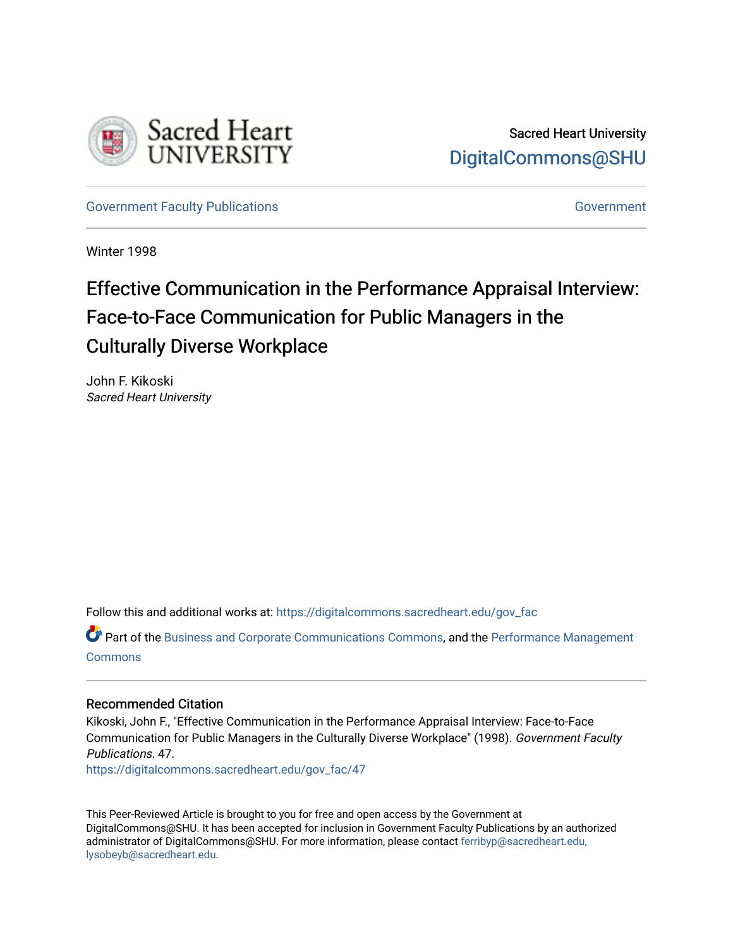

[Government Faculty Publications](https://digitalcommons.sacredheart.edu/gov_fac) [Government](https://digitalcommons.sacredheart.edu/gov) Government

Winter 1998

# Effective Communication in the Performance Appraisal Interview: Face-to-Face Communication for Public Managers in the Culturally Diverse Workplace

John F. Kikoski Sacred Heart University

Follow this and additional works at: [https://digitalcommons.sacredheart.edu/gov\\_fac](https://digitalcommons.sacredheart.edu/gov_fac?utm_source=digitalcommons.sacredheart.edu%2Fgov_fac%2F47&utm_medium=PDF&utm_campaign=PDFCoverPages)

Part of the [Business and Corporate Communications Commons](http://network.bepress.com/hgg/discipline/627?utm_source=digitalcommons.sacredheart.edu%2Fgov_fac%2F47&utm_medium=PDF&utm_campaign=PDFCoverPages), and the [Performance Management](http://network.bepress.com/hgg/discipline/1256?utm_source=digitalcommons.sacredheart.edu%2Fgov_fac%2F47&utm_medium=PDF&utm_campaign=PDFCoverPages)  **[Commons](http://network.bepress.com/hgg/discipline/1256?utm_source=digitalcommons.sacredheart.edu%2Fgov_fac%2F47&utm_medium=PDF&utm_campaign=PDFCoverPages)** 

## Recommended Citation

Kikoski, John F., "Effective Communication in the Performance Appraisal Interview: Face-to-Face Communication for Public Managers in the Culturally Diverse Workplace" (1998). Government Faculty Publications. 47.

[https://digitalcommons.sacredheart.edu/gov\\_fac/47](https://digitalcommons.sacredheart.edu/gov_fac/47?utm_source=digitalcommons.sacredheart.edu%2Fgov_fac%2F47&utm_medium=PDF&utm_campaign=PDFCoverPages) 

This Peer-Reviewed Article is brought to you for free and open access by the Government at DigitalCommons@SHU. It has been accepted for inclusion in Government Faculty Publications by an authorized administrator of DigitalCommons@SHU. For more information, please contact [ferribyp@sacredheart.edu,](mailto:ferribyp@sacredheart.edu,%20lysobeyb@sacredheart.edu) [lysobeyb@sacredheart.edu](mailto:ferribyp@sacredheart.edu,%20lysobeyb@sacredheart.edu).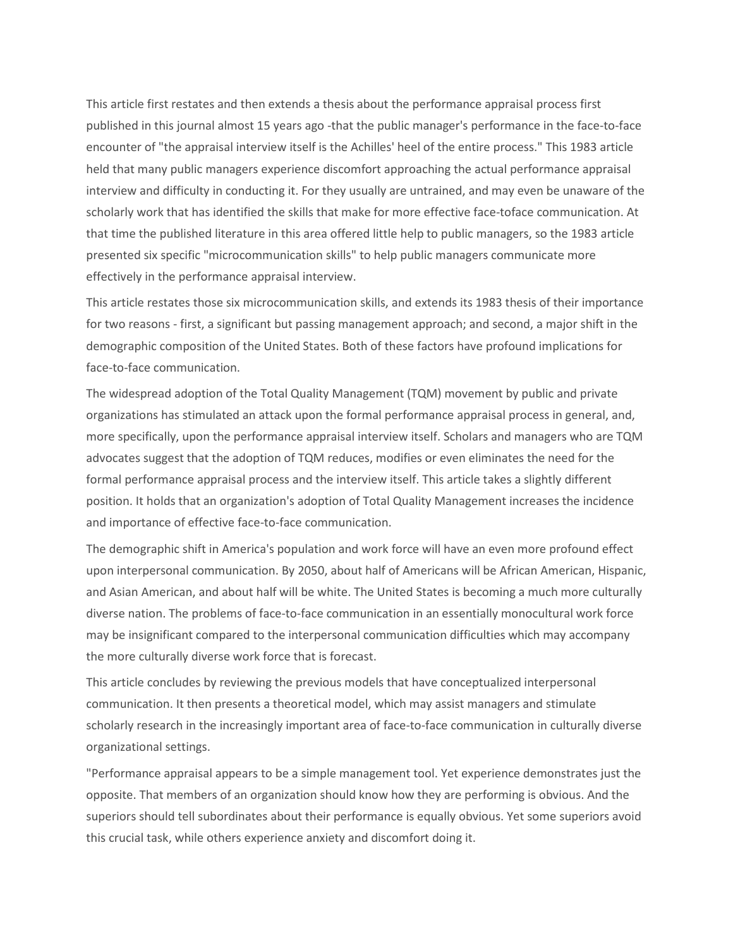This article first restates and then extends a thesis about the performance appraisal process first published in this journal almost 15 years ago -that the public manager's performance in the face-to-face encounter of "the appraisal interview itself is the Achilles' heel of the entire process." This 1983 article held that many public managers experience discomfort approaching the actual performance appraisal interview and difficulty in conducting it. For they usually are untrained, and may even be unaware of the scholarly work that has identified the skills that make for more effective face-toface communication. At that time the published literature in this area offered little help to public managers, so the 1983 article presented six specific "microcommunication skills" to help public managers communicate more effectively in the performance appraisal interview.

This article restates those six microcommunication skills, and extends its 1983 thesis of their importance for two reasons - first, a significant but passing management approach; and second, a major shift in the demographic composition of the United States. Both of these factors have profound implications for face-to-face communication.

The widespread adoption of the Total Quality Management (TQM) movement by public and private organizations has stimulated an attack upon the formal performance appraisal process in general, and, more specifically, upon the performance appraisal interview itself. Scholars and managers who are TQM advocates suggest that the adoption of TQM reduces, modifies or even eliminates the need for the formal performance appraisal process and the interview itself. This article takes a slightly different position. It holds that an organization's adoption of Total Quality Management increases the incidence and importance of effective face-to-face communication.

The demographic shift in America's population and work force will have an even more profound effect upon interpersonal communication. By 2050, about half of Americans will be African American, Hispanic, and Asian American, and about half will be white. The United States is becoming a much more culturally diverse nation. The problems of face-to-face communication in an essentially monocultural work force may be insignificant compared to the interpersonal communication difficulties which may accompany the more culturally diverse work force that is forecast.

This article concludes by reviewing the previous models that have conceptualized interpersonal communication. It then presents a theoretical model, which may assist managers and stimulate scholarly research in the increasingly important area of face-to-face communication in culturally diverse organizational settings.

"Performance appraisal appears to be a simple management tool. Yet experience demonstrates just the opposite. That members of an organization should know how they are performing is obvious. And the superiors should tell subordinates about their performance is equally obvious. Yet some superiors avoid this crucial task, while others experience anxiety and discomfort doing it.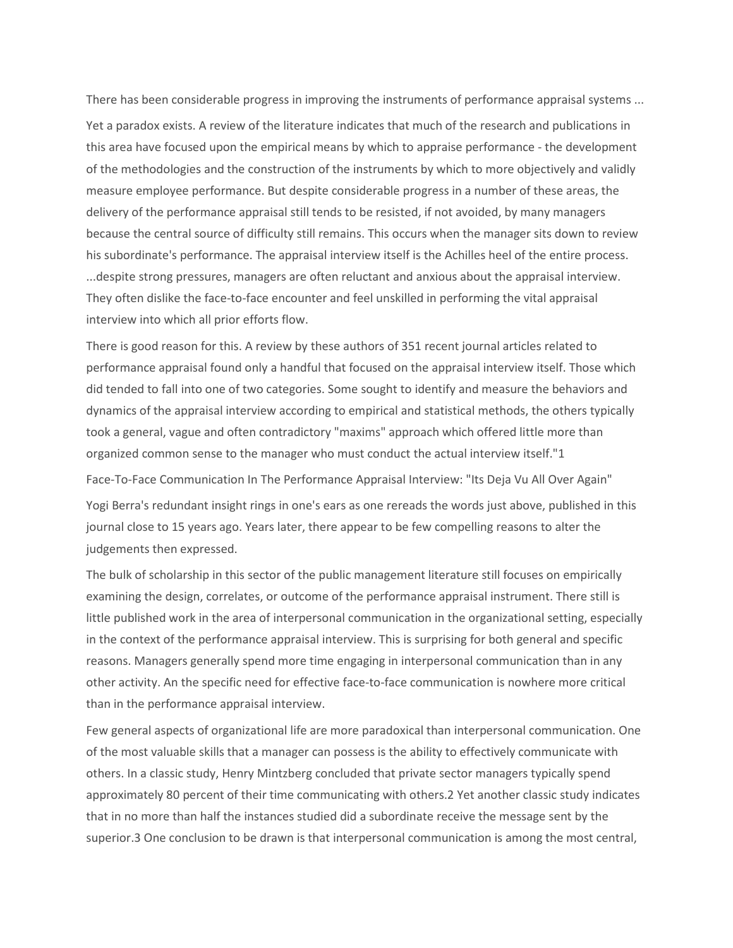There has been considerable progress in improving the instruments of performance appraisal systems ... Yet a paradox exists. A review of the literature indicates that much of the research and publications in this area have focused upon the empirical means by which to appraise performance - the development of the methodologies and the construction of the instruments by which to more objectively and validly measure employee performance. But despite considerable progress in a number of these areas, the delivery of the performance appraisal still tends to be resisted, if not avoided, by many managers because the central source of difficulty still remains. This occurs when the manager sits down to review his subordinate's performance. The appraisal interview itself is the Achilles heel of the entire process. ...despite strong pressures, managers are often reluctant and anxious about the appraisal interview. They often dislike the face-to-face encounter and feel unskilled in performing the vital appraisal interview into which all prior efforts flow.

There is good reason for this. A review by these authors of 351 recent journal articles related to performance appraisal found only a handful that focused on the appraisal interview itself. Those which did tended to fall into one of two categories. Some sought to identify and measure the behaviors and dynamics of the appraisal interview according to empirical and statistical methods, the others typically took a general, vague and often contradictory "maxims" approach which offered little more than organized common sense to the manager who must conduct the actual interview itself."1

Face-To-Face Communication In The Performance Appraisal Interview: "Its Deja Vu All Over Again" Yogi Berra's redundant insight rings in one's ears as one rereads the words just above, published in this journal close to 15 years ago. Years later, there appear to be few compelling reasons to alter the judgements then expressed.

The bulk of scholarship in this sector of the public management literature still focuses on empirically examining the design, correlates, or outcome of the performance appraisal instrument. There still is little published work in the area of interpersonal communication in the organizational setting, especially in the context of the performance appraisal interview. This is surprising for both general and specific reasons. Managers generally spend more time engaging in interpersonal communication than in any other activity. An the specific need for effective face-to-face communication is nowhere more critical than in the performance appraisal interview.

Few general aspects of organizational life are more paradoxical than interpersonal communication. One of the most valuable skills that a manager can possess is the ability to effectively communicate with others. In a classic study, Henry Mintzberg concluded that private sector managers typically spend approximately 80 percent of their time communicating with others.2 Yet another classic study indicates that in no more than half the instances studied did a subordinate receive the message sent by the superior.3 One conclusion to be drawn is that interpersonal communication is among the most central,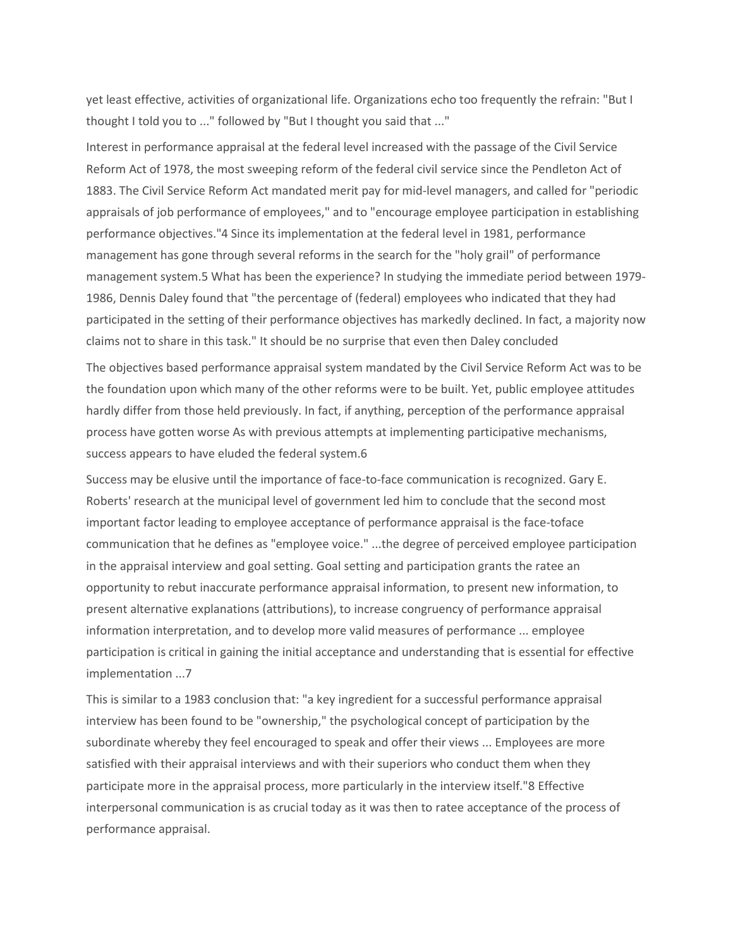yet least effective, activities of organizational life. Organizations echo too frequently the refrain: "But I thought I told you to ..." followed by "But I thought you said that ..."

Interest in performance appraisal at the federal level increased with the passage of the Civil Service Reform Act of 1978, the most sweeping reform of the federal civil service since the Pendleton Act of 1883. The Civil Service Reform Act mandated merit pay for mid-level managers, and called for "periodic appraisals of job performance of employees," and to "encourage employee participation in establishing performance objectives."4 Since its implementation at the federal level in 1981, performance management has gone through several reforms in the search for the "holy grail" of performance management system.5 What has been the experience? In studying the immediate period between 1979- 1986, Dennis Daley found that "the percentage of (federal) employees who indicated that they had participated in the setting of their performance objectives has markedly declined. In fact, a majority now claims not to share in this task." It should be no surprise that even then Daley concluded

The objectives based performance appraisal system mandated by the Civil Service Reform Act was to be the foundation upon which many of the other reforms were to be built. Yet, public employee attitudes hardly differ from those held previously. In fact, if anything, perception of the performance appraisal process have gotten worse As with previous attempts at implementing participative mechanisms, success appears to have eluded the federal system.6

Success may be elusive until the importance of face-to-face communication is recognized. Gary E. Roberts' research at the municipal level of government led him to conclude that the second most important factor leading to employee acceptance of performance appraisal is the face-toface communication that he defines as "employee voice." ...the degree of perceived employee participation in the appraisal interview and goal setting. Goal setting and participation grants the ratee an opportunity to rebut inaccurate performance appraisal information, to present new information, to present alternative explanations (attributions), to increase congruency of performance appraisal information interpretation, and to develop more valid measures of performance ... employee participation is critical in gaining the initial acceptance and understanding that is essential for effective implementation ...7

This is similar to a 1983 conclusion that: "a key ingredient for a successful performance appraisal interview has been found to be "ownership," the psychological concept of participation by the subordinate whereby they feel encouraged to speak and offer their views ... Employees are more satisfied with their appraisal interviews and with their superiors who conduct them when they participate more in the appraisal process, more particularly in the interview itself."8 Effective interpersonal communication is as crucial today as it was then to ratee acceptance of the process of performance appraisal.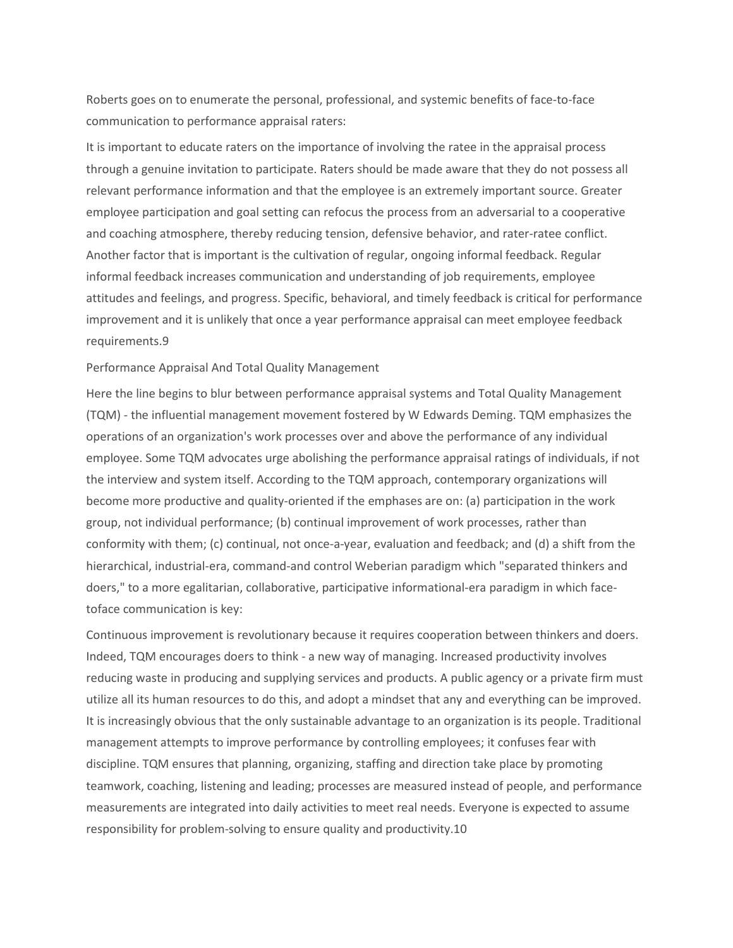Roberts goes on to enumerate the personal, professional, and systemic benefits of face-to-face communication to performance appraisal raters:

It is important to educate raters on the importance of involving the ratee in the appraisal process through a genuine invitation to participate. Raters should be made aware that they do not possess all relevant performance information and that the employee is an extremely important source. Greater employee participation and goal setting can refocus the process from an adversarial to a cooperative and coaching atmosphere, thereby reducing tension, defensive behavior, and rater-ratee conflict. Another factor that is important is the cultivation of regular, ongoing informal feedback. Regular informal feedback increases communication and understanding of job requirements, employee attitudes and feelings, and progress. Specific, behavioral, and timely feedback is critical for performance improvement and it is unlikely that once a year performance appraisal can meet employee feedback requirements.9

### Performance Appraisal And Total Quality Management

Here the line begins to blur between performance appraisal systems and Total Quality Management (TQM) - the influential management movement fostered by W Edwards Deming. TQM emphasizes the operations of an organization's work processes over and above the performance of any individual employee. Some TQM advocates urge abolishing the performance appraisal ratings of individuals, if not the interview and system itself. According to the TQM approach, contemporary organizations will become more productive and quality-oriented if the emphases are on: (a) participation in the work group, not individual performance; (b) continual improvement of work processes, rather than conformity with them; (c) continual, not once-a-year, evaluation and feedback; and (d) a shift from the hierarchical, industrial-era, command-and control Weberian paradigm which "separated thinkers and doers," to a more egalitarian, collaborative, participative informational-era paradigm in which facetoface communication is key:

Continuous improvement is revolutionary because it requires cooperation between thinkers and doers. Indeed, TQM encourages doers to think - a new way of managing. Increased productivity involves reducing waste in producing and supplying services and products. A public agency or a private firm must utilize all its human resources to do this, and adopt a mindset that any and everything can be improved. It is increasingly obvious that the only sustainable advantage to an organization is its people. Traditional management attempts to improve performance by controlling employees; it confuses fear with discipline. TQM ensures that planning, organizing, staffing and direction take place by promoting teamwork, coaching, listening and leading; processes are measured instead of people, and performance measurements are integrated into daily activities to meet real needs. Everyone is expected to assume responsibility for problem-solving to ensure quality and productivity.10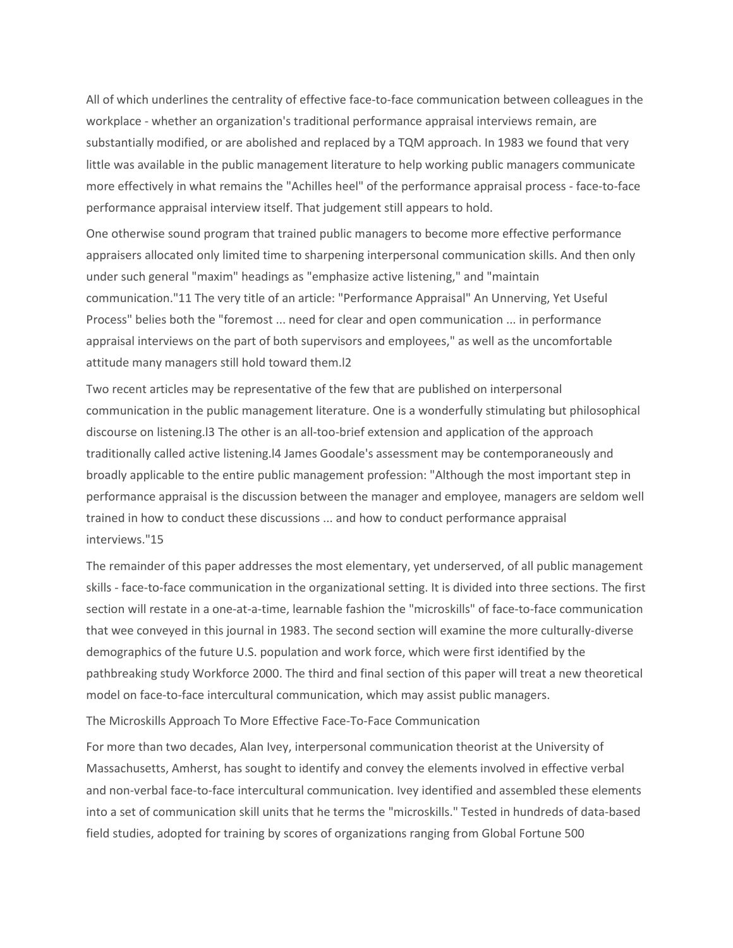All of which underlines the centrality of effective face-to-face communication between colleagues in the workplace - whether an organization's traditional performance appraisal interviews remain, are substantially modified, or are abolished and replaced by a TQM approach. In 1983 we found that very little was available in the public management literature to help working public managers communicate more effectively in what remains the "Achilles heel" of the performance appraisal process - face-to-face performance appraisal interview itself. That judgement still appears to hold.

One otherwise sound program that trained public managers to become more effective performance appraisers allocated only limited time to sharpening interpersonal communication skills. And then only under such general "maxim" headings as "emphasize active listening," and "maintain communication."11 The very title of an article: "Performance Appraisal" An Unnerving, Yet Useful Process" belies both the "foremost ... need for clear and open communication ... in performance appraisal interviews on the part of both supervisors and employees," as well as the uncomfortable attitude many managers still hold toward them.l2

Two recent articles may be representative of the few that are published on interpersonal communication in the public management literature. One is a wonderfully stimulating but philosophical discourse on listening.l3 The other is an all-too-brief extension and application of the approach traditionally called active listening.l4 James Goodale's assessment may be contemporaneously and broadly applicable to the entire public management profession: "Although the most important step in performance appraisal is the discussion between the manager and employee, managers are seldom well trained in how to conduct these discussions ... and how to conduct performance appraisal interviews."15

The remainder of this paper addresses the most elementary, yet underserved, of all public management skills - face-to-face communication in the organizational setting. It is divided into three sections. The first section will restate in a one-at-a-time, learnable fashion the "microskills" of face-to-face communication that wee conveyed in this journal in 1983. The second section will examine the more culturally-diverse demographics of the future U.S. population and work force, which were first identified by the pathbreaking study Workforce 2000. The third and final section of this paper will treat a new theoretical model on face-to-face intercultural communication, which may assist public managers.

The Microskills Approach To More Effective Face-To-Face Communication

For more than two decades, Alan Ivey, interpersonal communication theorist at the University of Massachusetts, Amherst, has sought to identify and convey the elements involved in effective verbal and non-verbal face-to-face intercultural communication. Ivey identified and assembled these elements into a set of communication skill units that he terms the "microskills." Tested in hundreds of data-based field studies, adopted for training by scores of organizations ranging from Global Fortune 500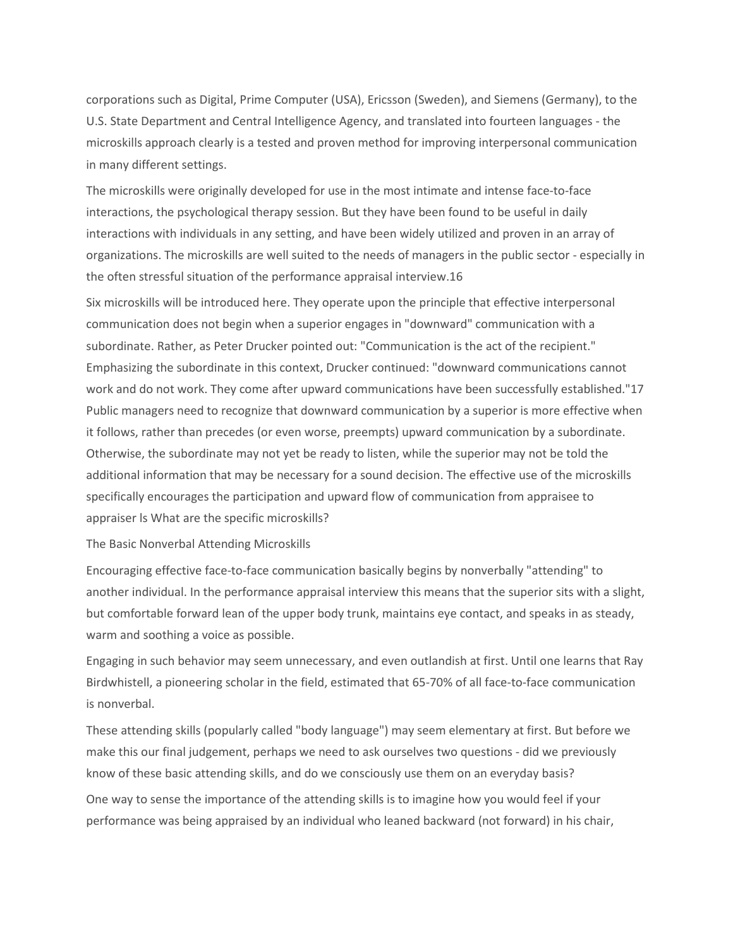corporations such as Digital, Prime Computer (USA), Ericsson (Sweden), and Siemens (Germany), to the U.S. State Department and Central Intelligence Agency, and translated into fourteen languages - the microskills approach clearly is a tested and proven method for improving interpersonal communication in many different settings.

The microskills were originally developed for use in the most intimate and intense face-to-face interactions, the psychological therapy session. But they have been found to be useful in daily interactions with individuals in any setting, and have been widely utilized and proven in an array of organizations. The microskills are well suited to the needs of managers in the public sector - especially in the often stressful situation of the performance appraisal interview.16

Six microskills will be introduced here. They operate upon the principle that effective interpersonal communication does not begin when a superior engages in "downward" communication with a subordinate. Rather, as Peter Drucker pointed out: "Communication is the act of the recipient." Emphasizing the subordinate in this context, Drucker continued: "downward communications cannot work and do not work. They come after upward communications have been successfully established."17 Public managers need to recognize that downward communication by a superior is more effective when it follows, rather than precedes (or even worse, preempts) upward communication by a subordinate. Otherwise, the subordinate may not yet be ready to listen, while the superior may not be told the additional information that may be necessary for a sound decision. The effective use of the microskills specifically encourages the participation and upward flow of communication from appraisee to appraiser ls What are the specific microskills?

#### The Basic Nonverbal Attending Microskills

Encouraging effective face-to-face communication basically begins by nonverbally "attending" to another individual. In the performance appraisal interview this means that the superior sits with a slight, but comfortable forward lean of the upper body trunk, maintains eye contact, and speaks in as steady, warm and soothing a voice as possible.

Engaging in such behavior may seem unnecessary, and even outlandish at first. Until one learns that Ray Birdwhistell, a pioneering scholar in the field, estimated that 65-70% of all face-to-face communication is nonverbal.

These attending skills (popularly called "body language") may seem elementary at first. But before we make this our final judgement, perhaps we need to ask ourselves two questions - did we previously know of these basic attending skills, and do we consciously use them on an everyday basis? One way to sense the importance of the attending skills is to imagine how you would feel if your

performance was being appraised by an individual who leaned backward (not forward) in his chair,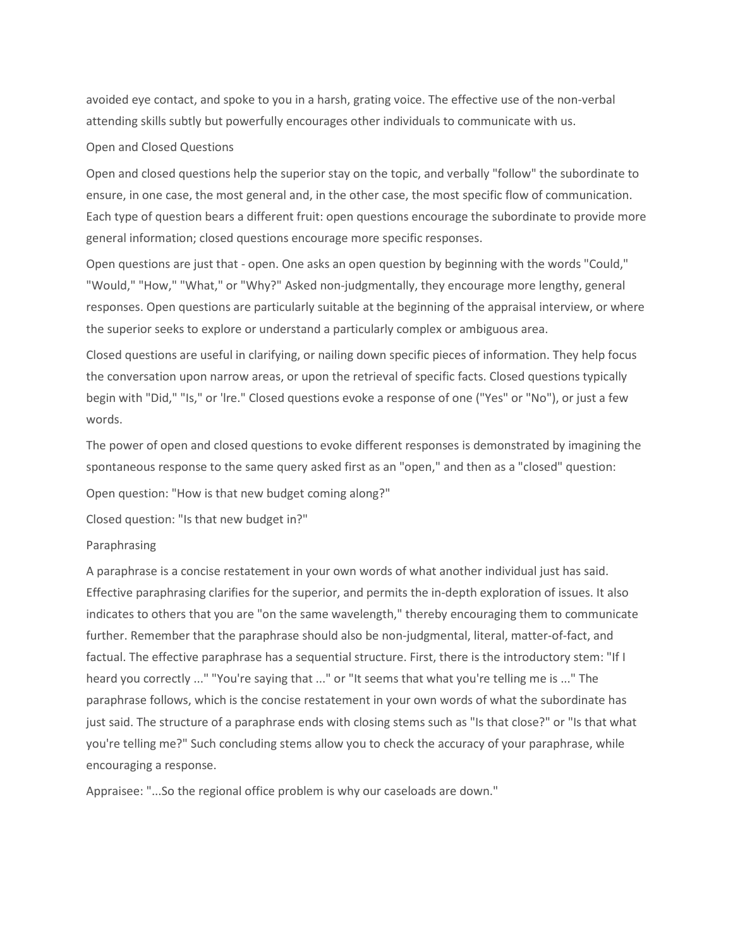avoided eye contact, and spoke to you in a harsh, grating voice. The effective use of the non-verbal attending skills subtly but powerfully encourages other individuals to communicate with us.

## Open and Closed Questions

Open and closed questions help the superior stay on the topic, and verbally "follow" the subordinate to ensure, in one case, the most general and, in the other case, the most specific flow of communication. Each type of question bears a different fruit: open questions encourage the subordinate to provide more general information; closed questions encourage more specific responses.

Open questions are just that - open. One asks an open question by beginning with the words "Could," "Would," "How," "What," or "Why?" Asked non-judgmentally, they encourage more lengthy, general responses. Open questions are particularly suitable at the beginning of the appraisal interview, or where the superior seeks to explore or understand a particularly complex or ambiguous area.

Closed questions are useful in clarifying, or nailing down specific pieces of information. They help focus the conversation upon narrow areas, or upon the retrieval of specific facts. Closed questions typically begin with "Did," "Is," or 'lre." Closed questions evoke a response of one ("Yes" or "No"), or just a few words.

The power of open and closed questions to evoke different responses is demonstrated by imagining the spontaneous response to the same query asked first as an "open," and then as a "closed" question:

Open question: "How is that new budget coming along?"

Closed question: "Is that new budget in?"

## Paraphrasing

A paraphrase is a concise restatement in your own words of what another individual just has said. Effective paraphrasing clarifies for the superior, and permits the in-depth exploration of issues. It also indicates to others that you are "on the same wavelength," thereby encouraging them to communicate further. Remember that the paraphrase should also be non-judgmental, literal, matter-of-fact, and factual. The effective paraphrase has a sequential structure. First, there is the introductory stem: "If I heard you correctly ..." "You're saying that ..." or "It seems that what you're telling me is ..." The paraphrase follows, which is the concise restatement in your own words of what the subordinate has just said. The structure of a paraphrase ends with closing stems such as "Is that close?" or "Is that what you're telling me?" Such concluding stems allow you to check the accuracy of your paraphrase, while encouraging a response.

Appraisee: "...So the regional office problem is why our caseloads are down."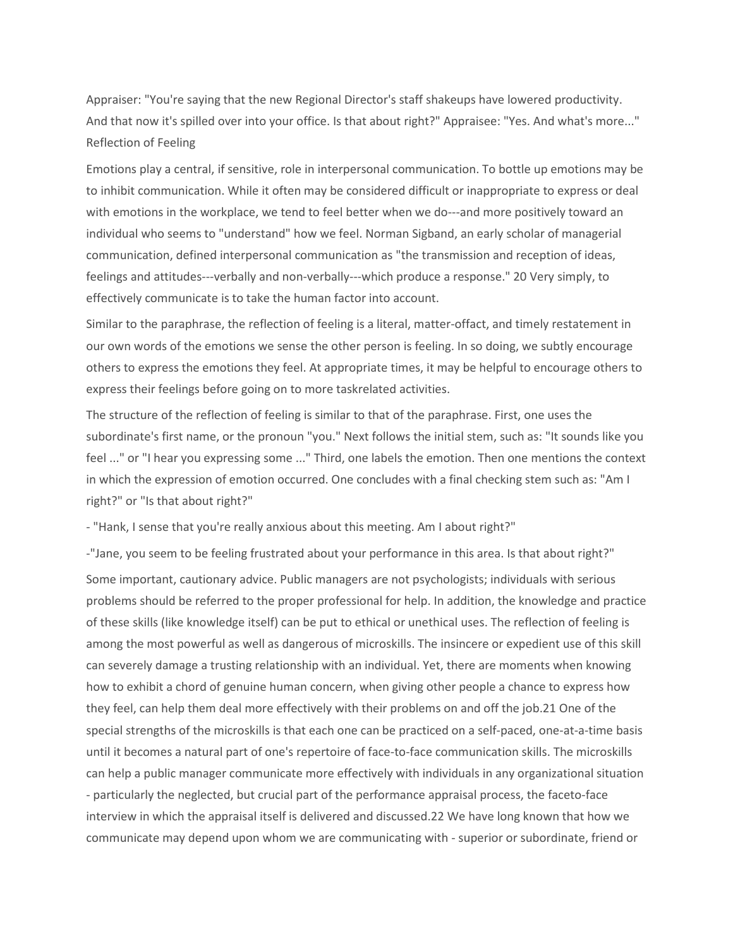Appraiser: "You're saying that the new Regional Director's staff shakeups have lowered productivity. And that now it's spilled over into your office. Is that about right?" Appraisee: "Yes. And what's more..." Reflection of Feeling

Emotions play a central, if sensitive, role in interpersonal communication. To bottle up emotions may be to inhibit communication. While it often may be considered difficult or inappropriate to express or deal with emotions in the workplace, we tend to feel better when we do---and more positively toward an individual who seems to "understand" how we feel. Norman Sigband, an early scholar of managerial communication, defined interpersonal communication as "the transmission and reception of ideas, feelings and attitudes---verbally and non-verbally---which produce a response." 20 Very simply, to effectively communicate is to take the human factor into account.

Similar to the paraphrase, the reflection of feeling is a literal, matter-offact, and timely restatement in our own words of the emotions we sense the other person is feeling. In so doing, we subtly encourage others to express the emotions they feel. At appropriate times, it may be helpful to encourage others to express their feelings before going on to more taskrelated activities.

The structure of the reflection of feeling is similar to that of the paraphrase. First, one uses the subordinate's first name, or the pronoun "you." Next follows the initial stem, such as: "It sounds like you feel ..." or "I hear you expressing some ..." Third, one labels the emotion. Then one mentions the context in which the expression of emotion occurred. One concludes with a final checking stem such as: "Am I right?" or "Is that about right?"

- "Hank, I sense that you're really anxious about this meeting. Am I about right?"

-"Jane, you seem to be feeling frustrated about your performance in this area. Is that about right?" Some important, cautionary advice. Public managers are not psychologists; individuals with serious problems should be referred to the proper professional for help. In addition, the knowledge and practice of these skills (like knowledge itself) can be put to ethical or unethical uses. The reflection of feeling is among the most powerful as well as dangerous of microskills. The insincere or expedient use of this skill can severely damage a trusting relationship with an individual. Yet, there are moments when knowing how to exhibit a chord of genuine human concern, when giving other people a chance to express how they feel, can help them deal more effectively with their problems on and off the job.21 One of the special strengths of the microskills is that each one can be practiced on a self-paced, one-at-a-time basis until it becomes a natural part of one's repertoire of face-to-face communication skills. The microskills can help a public manager communicate more effectively with individuals in any organizational situation - particularly the neglected, but crucial part of the performance appraisal process, the faceto-face interview in which the appraisal itself is delivered and discussed.22 We have long known that how we communicate may depend upon whom we are communicating with - superior or subordinate, friend or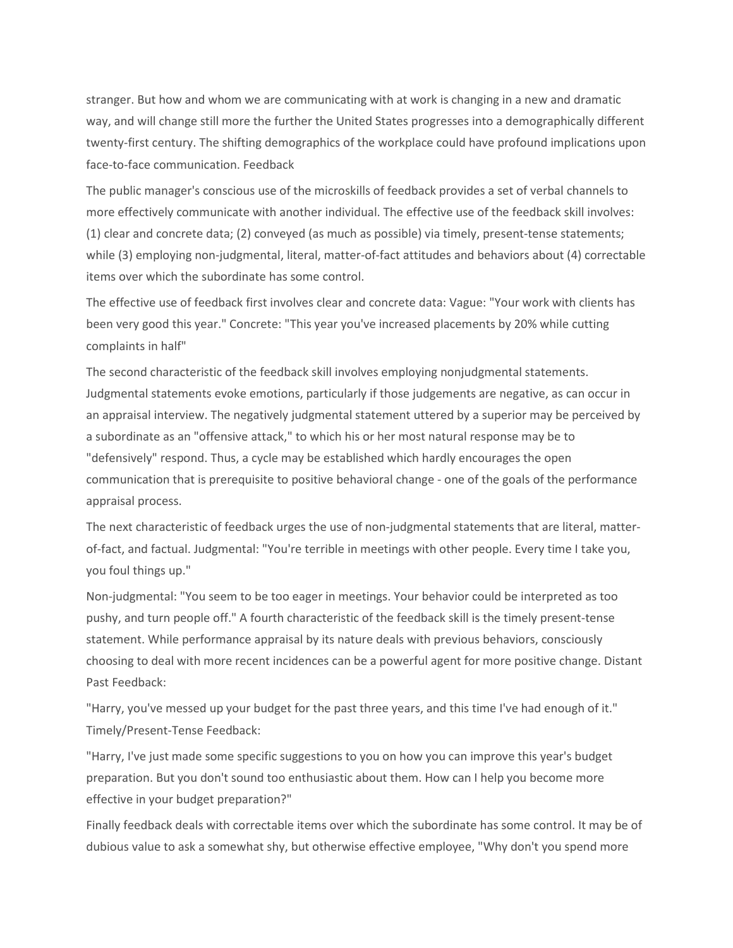stranger. But how and whom we are communicating with at work is changing in a new and dramatic way, and will change still more the further the United States progresses into a demographically different twenty-first century. The shifting demographics of the workplace could have profound implications upon face-to-face communication. Feedback

The public manager's conscious use of the microskills of feedback provides a set of verbal channels to more effectively communicate with another individual. The effective use of the feedback skill involves: (1) clear and concrete data; (2) conveyed (as much as possible) via timely, present-tense statements; while (3) employing non-judgmental, literal, matter-of-fact attitudes and behaviors about (4) correctable items over which the subordinate has some control.

The effective use of feedback first involves clear and concrete data: Vague: "Your work with clients has been very good this year." Concrete: "This year you've increased placements by 20% while cutting complaints in half"

The second characteristic of the feedback skill involves employing nonjudgmental statements. Judgmental statements evoke emotions, particularly if those judgements are negative, as can occur in an appraisal interview. The negatively judgmental statement uttered by a superior may be perceived by a subordinate as an "offensive attack," to which his or her most natural response may be to "defensively" respond. Thus, a cycle may be established which hardly encourages the open communication that is prerequisite to positive behavioral change - one of the goals of the performance appraisal process.

The next characteristic of feedback urges the use of non-judgmental statements that are literal, matterof-fact, and factual. Judgmental: "You're terrible in meetings with other people. Every time I take you, you foul things up."

Non-judgmental: "You seem to be too eager in meetings. Your behavior could be interpreted as too pushy, and turn people off." A fourth characteristic of the feedback skill is the timely present-tense statement. While performance appraisal by its nature deals with previous behaviors, consciously choosing to deal with more recent incidences can be a powerful agent for more positive change. Distant Past Feedback:

"Harry, you've messed up your budget for the past three years, and this time I've had enough of it." Timely/Present-Tense Feedback:

"Harry, I've just made some specific suggestions to you on how you can improve this year's budget preparation. But you don't sound too enthusiastic about them. How can I help you become more effective in your budget preparation?"

Finally feedback deals with correctable items over which the subordinate has some control. It may be of dubious value to ask a somewhat shy, but otherwise effective employee, "Why don't you spend more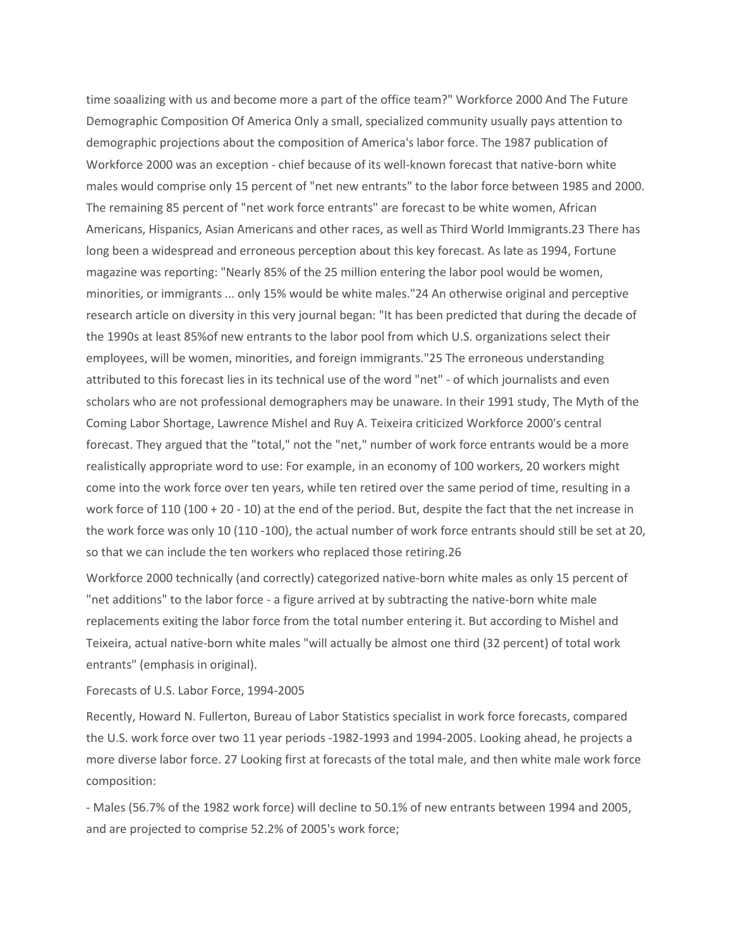time soaalizing with us and become more a part of the office team?" Workforce 2000 And The Future Demographic Composition Of America Only a small, specialized community usually pays attention to demographic projections about the composition of America's labor force. The 1987 publication of Workforce 2000 was an exception - chief because of its well-known forecast that native-born white males would comprise only 15 percent of "net new entrants" to the labor force between 1985 and 2000. The remaining 85 percent of "net work force entrants" are forecast to be white women, African Americans, Hispanics, Asian Americans and other races, as well as Third World Immigrants.23 There has long been a widespread and erroneous perception about this key forecast. As late as 1994, Fortune magazine was reporting: "Nearly 85% of the 25 million entering the labor pool would be women, minorities, or immigrants ... only 15% would be white males."24 An otherwise original and perceptive research article on diversity in this very journal began: "It has been predicted that during the decade of the 1990s at least 85%of new entrants to the labor pool from which U.S. organizations select their employees, will be women, minorities, and foreign immigrants."25 The erroneous understanding attributed to this forecast lies in its technical use of the word "net" - of which journalists and even scholars who are not professional demographers may be unaware. In their 1991 study, The Myth of the Coming Labor Shortage, Lawrence Mishel and Ruy A. Teixeira criticized Workforce 2000's central forecast. They argued that the "total," not the "net," number of work force entrants would be a more realistically appropriate word to use: For example, in an economy of 100 workers, 20 workers might come into the work force over ten years, while ten retired over the same period of time, resulting in a work force of 110 (100 + 20 - 10) at the end of the period. But, despite the fact that the net increase in the work force was only 10 (110 -100), the actual number of work force entrants should still be set at 20, so that we can include the ten workers who replaced those retiring.26

Workforce 2000 technically (and correctly) categorized native-born white males as only 15 percent of "net additions" to the labor force - a figure arrived at by subtracting the native-born white male replacements exiting the labor force from the total number entering it. But according to Mishel and Teixeira, actual native-born white males "will actually be almost one third (32 percent) of total work entrants" (emphasis in original).

Forecasts of U.S. Labor Force, 1994-2005

Recently, Howard N. Fullerton, Bureau of Labor Statistics specialist in work force forecasts, compared the U.S. work force over two 11 year periods -1982-1993 and 1994-2005. Looking ahead, he projects a more diverse labor force. 27 Looking first at forecasts of the total male, and then white male work force composition:

- Males (56.7% of the 1982 work force) will decline to 50.1% of new entrants between 1994 and 2005, and are projected to comprise 52.2% of 2005's work force;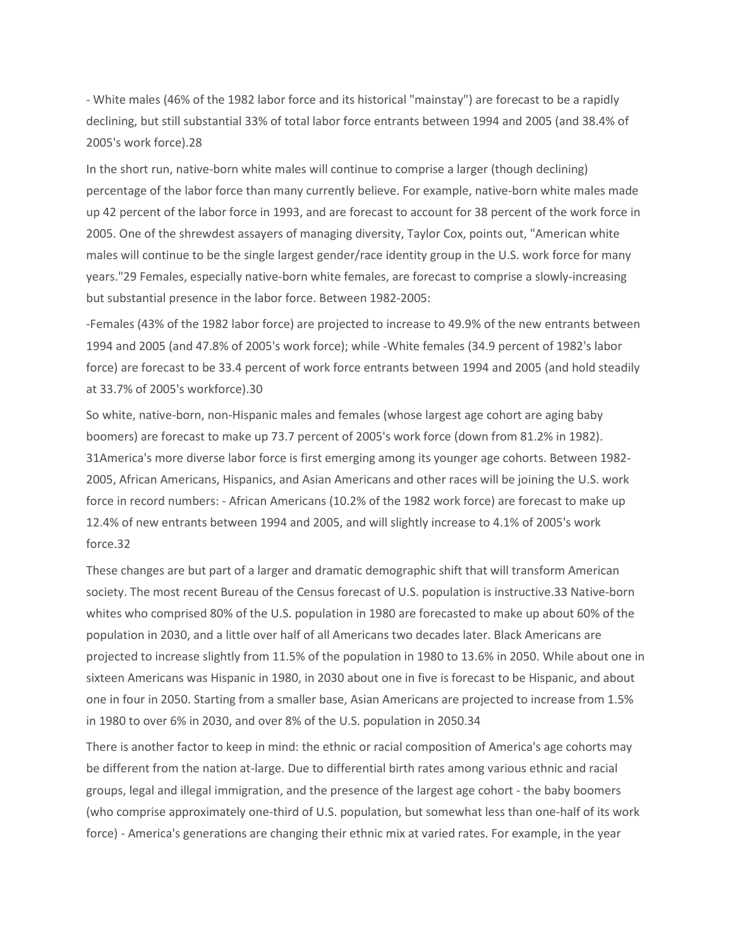- White males (46% of the 1982 labor force and its historical "mainstay") are forecast to be a rapidly declining, but still substantial 33% of total labor force entrants between 1994 and 2005 (and 38.4% of 2005's work force).28

In the short run, native-born white males will continue to comprise a larger (though declining) percentage of the labor force than many currently believe. For example, native-born white males made up 42 percent of the labor force in 1993, and are forecast to account for 38 percent of the work force in 2005. One of the shrewdest assayers of managing diversity, Taylor Cox, points out, "American white males will continue to be the single largest gender/race identity group in the U.S. work force for many years."29 Females, especially native-born white females, are forecast to comprise a slowly-increasing but substantial presence in the labor force. Between 1982-2005:

-Females (43% of the 1982 labor force) are projected to increase to 49.9% of the new entrants between 1994 and 2005 (and 47.8% of 2005's work force); while -White females (34.9 percent of 1982's labor force) are forecast to be 33.4 percent of work force entrants between 1994 and 2005 (and hold steadily at 33.7% of 2005's workforce).30

So white, native-born, non-Hispanic males and females (whose largest age cohort are aging baby boomers) are forecast to make up 73.7 percent of 2005's work force (down from 81.2% in 1982). 31America's more diverse labor force is first emerging among its younger age cohorts. Between 1982- 2005, African Americans, Hispanics, and Asian Americans and other races will be joining the U.S. work force in record numbers: - African Americans (10.2% of the 1982 work force) are forecast to make up 12.4% of new entrants between 1994 and 2005, and will slightly increase to 4.1% of 2005's work force.32

These changes are but part of a larger and dramatic demographic shift that will transform American society. The most recent Bureau of the Census forecast of U.S. population is instructive.33 Native-born whites who comprised 80% of the U.S. population in 1980 are forecasted to make up about 60% of the population in 2030, and a little over half of all Americans two decades later. Black Americans are projected to increase slightly from 11.5% of the population in 1980 to 13.6% in 2050. While about one in sixteen Americans was Hispanic in 1980, in 2030 about one in five is forecast to be Hispanic, and about one in four in 2050. Starting from a smaller base, Asian Americans are projected to increase from 1.5% in 1980 to over 6% in 2030, and over 8% of the U.S. population in 2050.34

There is another factor to keep in mind: the ethnic or racial composition of America's age cohorts may be different from the nation at-large. Due to differential birth rates among various ethnic and racial groups, legal and illegal immigration, and the presence of the largest age cohort - the baby boomers (who comprise approximately one-third of U.S. population, but somewhat less than one-half of its work force) - America's generations are changing their ethnic mix at varied rates. For example, in the year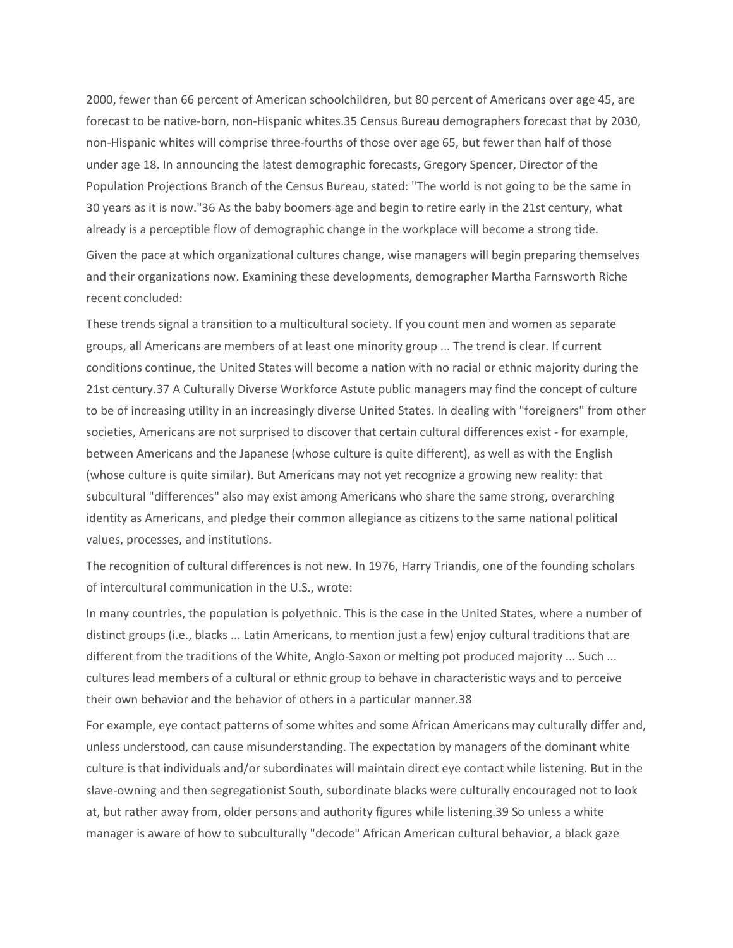2000, fewer than 66 percent of American schoolchildren, but 80 percent of Americans over age 45, are forecast to be native-born, non-Hispanic whites.35 Census Bureau demographers forecast that by 2030, non-Hispanic whites will comprise three-fourths of those over age 65, but fewer than half of those under age 18. In announcing the latest demographic forecasts, Gregory Spencer, Director of the Population Projections Branch of the Census Bureau, stated: "The world is not going to be the same in 30 years as it is now."36 As the baby boomers age and begin to retire early in the 21st century, what already is a perceptible flow of demographic change in the workplace will become a strong tide.

Given the pace at which organizational cultures change, wise managers will begin preparing themselves and their organizations now. Examining these developments, demographer Martha Farnsworth Riche recent concluded:

These trends signal a transition to a multicultural society. If you count men and women as separate groups, all Americans are members of at least one minority group ... The trend is clear. If current conditions continue, the United States will become a nation with no racial or ethnic majority during the 21st century.37 A Culturally Diverse Workforce Astute public managers may find the concept of culture to be of increasing utility in an increasingly diverse United States. In dealing with "foreigners" from other societies, Americans are not surprised to discover that certain cultural differences exist - for example, between Americans and the Japanese (whose culture is quite different), as well as with the English (whose culture is quite similar). But Americans may not yet recognize a growing new reality: that subcultural "differences" also may exist among Americans who share the same strong, overarching identity as Americans, and pledge their common allegiance as citizens to the same national political values, processes, and institutions.

The recognition of cultural differences is not new. In 1976, Harry Triandis, one of the founding scholars of intercultural communication in the U.S., wrote:

In many countries, the population is polyethnic. This is the case in the United States, where a number of distinct groups (i.e., blacks ... Latin Americans, to mention just a few) enjoy cultural traditions that are different from the traditions of the White, Anglo-Saxon or melting pot produced majority ... Such ... cultures lead members of a cultural or ethnic group to behave in characteristic ways and to perceive their own behavior and the behavior of others in a particular manner.38

For example, eye contact patterns of some whites and some African Americans may culturally differ and, unless understood, can cause misunderstanding. The expectation by managers of the dominant white culture is that individuals and/or subordinates will maintain direct eye contact while listening. But in the slave-owning and then segregationist South, subordinate blacks were culturally encouraged not to look at, but rather away from, older persons and authority figures while listening.39 So unless a white manager is aware of how to subculturally "decode" African American cultural behavior, a black gaze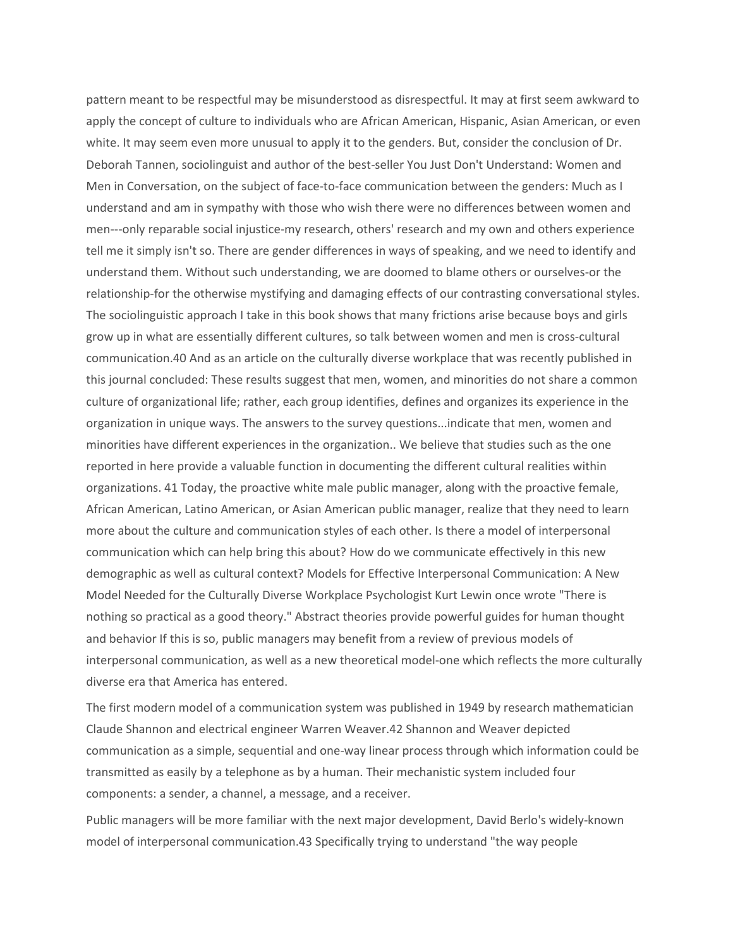pattern meant to be respectful may be misunderstood as disrespectful. It may at first seem awkward to apply the concept of culture to individuals who are African American, Hispanic, Asian American, or even white. It may seem even more unusual to apply it to the genders. But, consider the conclusion of Dr. Deborah Tannen, sociolinguist and author of the best-seller You Just Don't Understand: Women and Men in Conversation, on the subject of face-to-face communication between the genders: Much as I understand and am in sympathy with those who wish there were no differences between women and men---only reparable social injustice-my research, others' research and my own and others experience tell me it simply isn't so. There are gender differences in ways of speaking, and we need to identify and understand them. Without such understanding, we are doomed to blame others or ourselves-or the relationship-for the otherwise mystifying and damaging effects of our contrasting conversational styles. The sociolinguistic approach I take in this book shows that many frictions arise because boys and girls grow up in what are essentially different cultures, so talk between women and men is cross-cultural communication.40 And as an article on the culturally diverse workplace that was recently published in this journal concluded: These results suggest that men, women, and minorities do not share a common culture of organizational life; rather, each group identifies, defines and organizes its experience in the organization in unique ways. The answers to the survey questions...indicate that men, women and minorities have different experiences in the organization.. We believe that studies such as the one reported in here provide a valuable function in documenting the different cultural realities within organizations. 41 Today, the proactive white male public manager, along with the proactive female, African American, Latino American, or Asian American public manager, realize that they need to learn more about the culture and communication styles of each other. Is there a model of interpersonal communication which can help bring this about? How do we communicate effectively in this new demographic as well as cultural context? Models for Effective Interpersonal Communication: A New Model Needed for the Culturally Diverse Workplace Psychologist Kurt Lewin once wrote "There is nothing so practical as a good theory." Abstract theories provide powerful guides for human thought and behavior If this is so, public managers may benefit from a review of previous models of interpersonal communication, as well as a new theoretical model-one which reflects the more culturally diverse era that America has entered.

The first modern model of a communication system was published in 1949 by research mathematician Claude Shannon and electrical engineer Warren Weaver.42 Shannon and Weaver depicted communication as a simple, sequential and one-way linear process through which information could be transmitted as easily by a telephone as by a human. Their mechanistic system included four components: a sender, a channel, a message, and a receiver.

Public managers will be more familiar with the next major development, David Berlo's widely-known model of interpersonal communication.43 Specifically trying to understand "the way people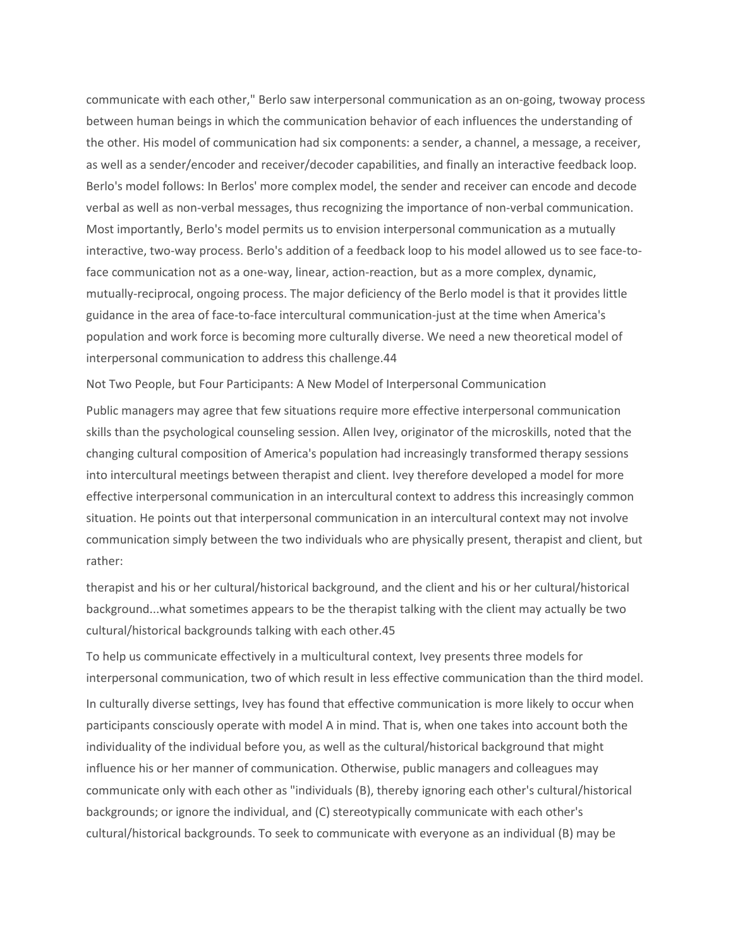communicate with each other," Berlo saw interpersonal communication as an on-going, twoway process between human beings in which the communication behavior of each influences the understanding of the other. His model of communication had six components: a sender, a channel, a message, a receiver, as well as a sender/encoder and receiver/decoder capabilities, and finally an interactive feedback loop. Berlo's model follows: In Berlos' more complex model, the sender and receiver can encode and decode verbal as well as non-verbal messages, thus recognizing the importance of non-verbal communication. Most importantly, Berlo's model permits us to envision interpersonal communication as a mutually interactive, two-way process. Berlo's addition of a feedback loop to his model allowed us to see face-toface communication not as a one-way, linear, action-reaction, but as a more complex, dynamic, mutually-reciprocal, ongoing process. The major deficiency of the Berlo model is that it provides little guidance in the area of face-to-face intercultural communication-just at the time when America's population and work force is becoming more culturally diverse. We need a new theoretical model of interpersonal communication to address this challenge.44

Not Two People, but Four Participants: A New Model of Interpersonal Communication

Public managers may agree that few situations require more effective interpersonal communication skills than the psychological counseling session. Allen Ivey, originator of the microskills, noted that the changing cultural composition of America's population had increasingly transformed therapy sessions into intercultural meetings between therapist and client. Ivey therefore developed a model for more effective interpersonal communication in an intercultural context to address this increasingly common situation. He points out that interpersonal communication in an intercultural context may not involve communication simply between the two individuals who are physically present, therapist and client, but rather:

therapist and his or her cultural/historical background, and the client and his or her cultural/historical background...what sometimes appears to be the therapist talking with the client may actually be two cultural/historical backgrounds talking with each other.45

To help us communicate effectively in a multicultural context, Ivey presents three models for interpersonal communication, two of which result in less effective communication than the third model. In culturally diverse settings, Ivey has found that effective communication is more likely to occur when participants consciously operate with model A in mind. That is, when one takes into account both the individuality of the individual before you, as well as the cultural/historical background that might influence his or her manner of communication. Otherwise, public managers and colleagues may communicate only with each other as "individuals (B), thereby ignoring each other's cultural/historical backgrounds; or ignore the individual, and (C) stereotypically communicate with each other's cultural/historical backgrounds. To seek to communicate with everyone as an individual (B) may be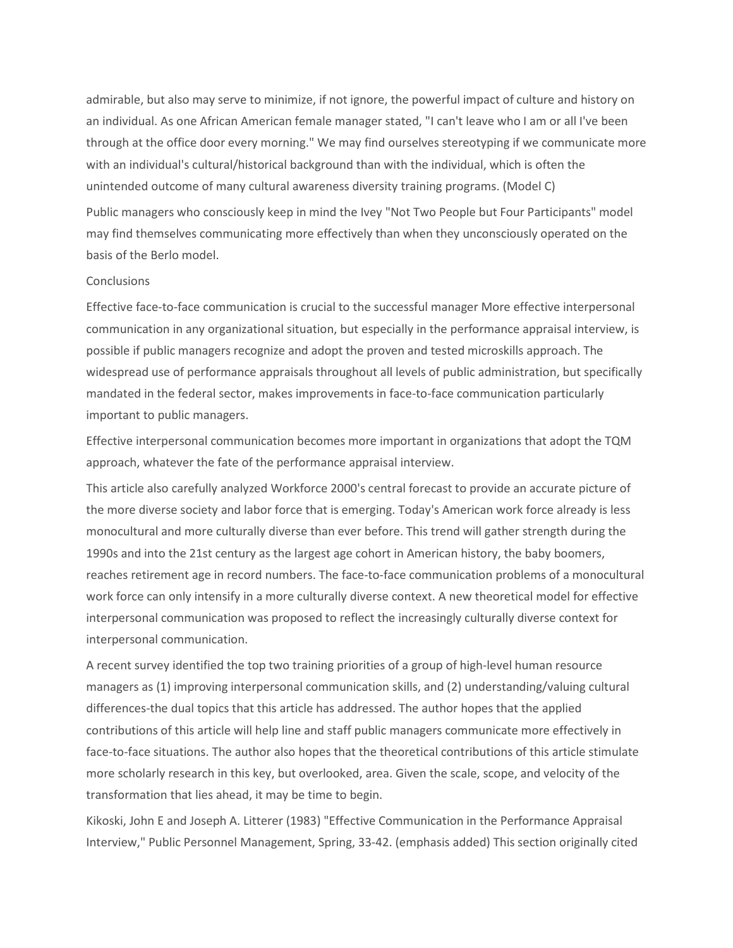admirable, but also may serve to minimize, if not ignore, the powerful impact of culture and history on an individual. As one African American female manager stated, "I can't leave who I am or all I've been through at the office door every morning." We may find ourselves stereotyping if we communicate more with an individual's cultural/historical background than with the individual, which is often the unintended outcome of many cultural awareness diversity training programs. (Model C)

Public managers who consciously keep in mind the Ivey "Not Two People but Four Participants" model may find themselves communicating more effectively than when they unconsciously operated on the basis of the Berlo model.

#### **Conclusions**

Effective face-to-face communication is crucial to the successful manager More effective interpersonal communication in any organizational situation, but especially in the performance appraisal interview, is possible if public managers recognize and adopt the proven and tested microskills approach. The widespread use of performance appraisals throughout all levels of public administration, but specifically mandated in the federal sector, makes improvements in face-to-face communication particularly important to public managers.

Effective interpersonal communication becomes more important in organizations that adopt the TQM approach, whatever the fate of the performance appraisal interview.

This article also carefully analyzed Workforce 2000's central forecast to provide an accurate picture of the more diverse society and labor force that is emerging. Today's American work force already is less monocultural and more culturally diverse than ever before. This trend will gather strength during the 1990s and into the 21st century as the largest age cohort in American history, the baby boomers, reaches retirement age in record numbers. The face-to-face communication problems of a monocultural work force can only intensify in a more culturally diverse context. A new theoretical model for effective interpersonal communication was proposed to reflect the increasingly culturally diverse context for interpersonal communication.

A recent survey identified the top two training priorities of a group of high-level human resource managers as (1) improving interpersonal communication skills, and (2) understanding/valuing cultural differences-the dual topics that this article has addressed. The author hopes that the applied contributions of this article will help line and staff public managers communicate more effectively in face-to-face situations. The author also hopes that the theoretical contributions of this article stimulate more scholarly research in this key, but overlooked, area. Given the scale, scope, and velocity of the transformation that lies ahead, it may be time to begin.

Kikoski, John E and Joseph A. Litterer (1983) "Effective Communication in the Performance Appraisal Interview," Public Personnel Management, Spring, 33-42. (emphasis added) This section originally cited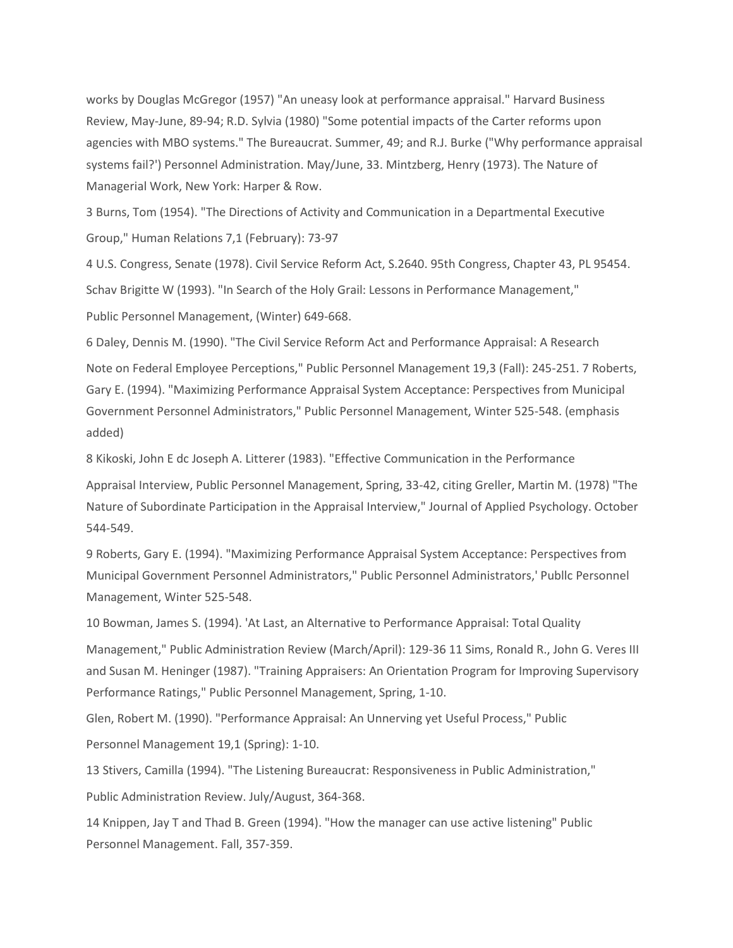works by Douglas McGregor (1957) "An uneasy look at performance appraisal." Harvard Business Review, May-June, 89-94; R.D. Sylvia (1980) "Some potential impacts of the Carter reforms upon agencies with MBO systems." The Bureaucrat. Summer, 49; and R.J. Burke ("Why performance appraisal systems fail?') Personnel Administration. May/June, 33. Mintzberg, Henry (1973). The Nature of Managerial Work, New York: Harper & Row.

3 Burns, Tom (1954). "The Directions of Activity and Communication in a Departmental Executive Group," Human Relations 7,1 (February): 73-97

4 U.S. Congress, Senate (1978). Civil Service Reform Act, S.2640. 95th Congress, Chapter 43, PL 95454. Schav Brigitte W (1993). "In Search of the Holy Grail: Lessons in Performance Management," Public Personnel Management, (Winter) 649-668.

6 Daley, Dennis M. (1990). "The Civil Service Reform Act and Performance Appraisal: A Research Note on Federal Employee Perceptions," Public Personnel Management 19,3 (Fall): 245-251. 7 Roberts, Gary E. (1994). "Maximizing Performance Appraisal System Acceptance: Perspectives from Municipal Government Personnel Administrators," Public Personnel Management, Winter 525-548. (emphasis added)

8 Kikoski, John E dc Joseph A. Litterer (1983). "Effective Communication in the Performance Appraisal Interview, Public Personnel Management, Spring, 33-42, citing Greller, Martin M. (1978) "The Nature of Subordinate Participation in the Appraisal Interview," Journal of Applied Psychology. October 544-549.

9 Roberts, Gary E. (1994). "Maximizing Performance Appraisal System Acceptance: Perspectives from Municipal Government Personnel Administrators," Public Personnel Administrators,' Publlc Personnel Management, Winter 525-548.

10 Bowman, James S. (1994). 'At Last, an Alternative to Performance Appraisal: Total Quality

Management," Public Administration Review (March/April): 129-36 11 Sims, Ronald R., John G. Veres III and Susan M. Heninger (1987). "Training Appraisers: An Orientation Program for Improving Supervisory Performance Ratings," Public Personnel Management, Spring, 1-10.

Glen, Robert M. (1990). "Performance Appraisal: An Unnerving yet Useful Process," Public

Personnel Management 19,1 (Spring): 1-10.

13 Stivers, Camilla (1994). "The Listening Bureaucrat: Responsiveness in Public Administration," Public Administration Review. July/August, 364-368.

14 Knippen, Jay T and Thad B. Green (1994). "How the manager can use active listening" Public Personnel Management. Fall, 357-359.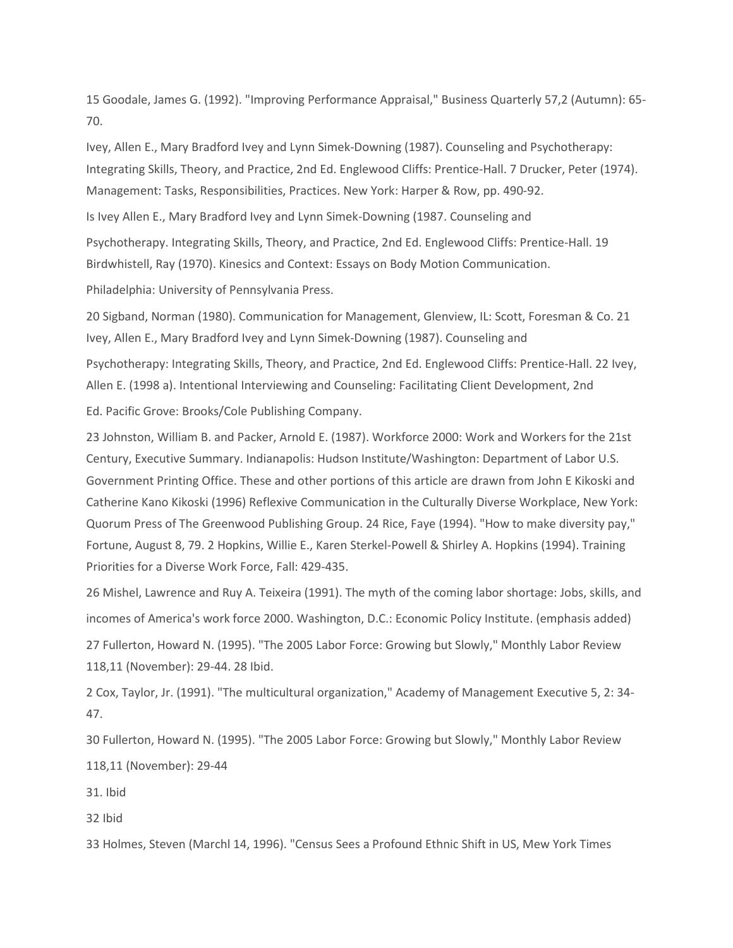15 Goodale, James G. (1992). "Improving Performance Appraisal," Business Quarterly 57,2 (Autumn): 65- 70.

Ivey, Allen E., Mary Bradford Ivey and Lynn Simek-Downing (1987). Counseling and Psychotherapy: Integrating Skills, Theory, and Practice, 2nd Ed. Englewood Cliffs: Prentice-Hall. 7 Drucker, Peter (1974). Management: Tasks, Responsibilities, Practices. New York: Harper & Row, pp. 490-92.

Is Ivey Allen E., Mary Bradford Ivey and Lynn Simek-Downing (1987. Counseling and

Psychotherapy. Integrating Skills, Theory, and Practice, 2nd Ed. Englewood Cliffs: Prentice-Hall. 19 Birdwhistell, Ray (1970). Kinesics and Context: Essays on Body Motion Communication.

Philadelphia: University of Pennsylvania Press.

20 Sigband, Norman (1980). Communication for Management, Glenview, IL: Scott, Foresman & Co. 21 Ivey, Allen E., Mary Bradford Ivey and Lynn Simek-Downing (1987). Counseling and Psychotherapy: Integrating Skills, Theory, and Practice, 2nd Ed. Englewood Cliffs: Prentice-Hall. 22 Ivey, Allen E. (1998 a). Intentional Interviewing and Counseling: Facilitating Client Development, 2nd

Ed. Pacific Grove: Brooks/Cole Publishing Company.

23 Johnston, William B. and Packer, Arnold E. (1987). Workforce 2000: Work and Workers for the 21st Century, Executive Summary. Indianapolis: Hudson Institute/Washington: Department of Labor U.S. Government Printing Office. These and other portions of this article are drawn from John E Kikoski and Catherine Kano Kikoski (1996) Reflexive Communication in the Culturally Diverse Workplace, New York: Quorum Press of The Greenwood Publishing Group. 24 Rice, Faye (1994). "How to make diversity pay," Fortune, August 8, 79. 2 Hopkins, Willie E., Karen Sterkel-Powell & Shirley A. Hopkins (1994). Training Priorities for a Diverse Work Force, Fall: 429-435.

26 Mishel, Lawrence and Ruy A. Teixeira (1991). The myth of the coming labor shortage: Jobs, skills, and incomes of America's work force 2000. Washington, D.C.: Economic Policy Institute. (emphasis added) 27 Fullerton, Howard N. (1995). "The 2005 Labor Force: Growing but Slowly," Monthly Labor Review 118,11 (November): 29-44. 28 Ibid.

2 Cox, Taylor, Jr. (1991). "The multicultural organization," Academy of Management Executive 5, 2: 34- 47.

30 Fullerton, Howard N. (1995). "The 2005 Labor Force: Growing but Slowly," Monthly Labor Review 118,11 (November): 29-44

31. Ibid

32 Ibid

33 Holmes, Steven (Marchl 14, 1996). "Census Sees a Profound Ethnic Shift in US, Mew York Times